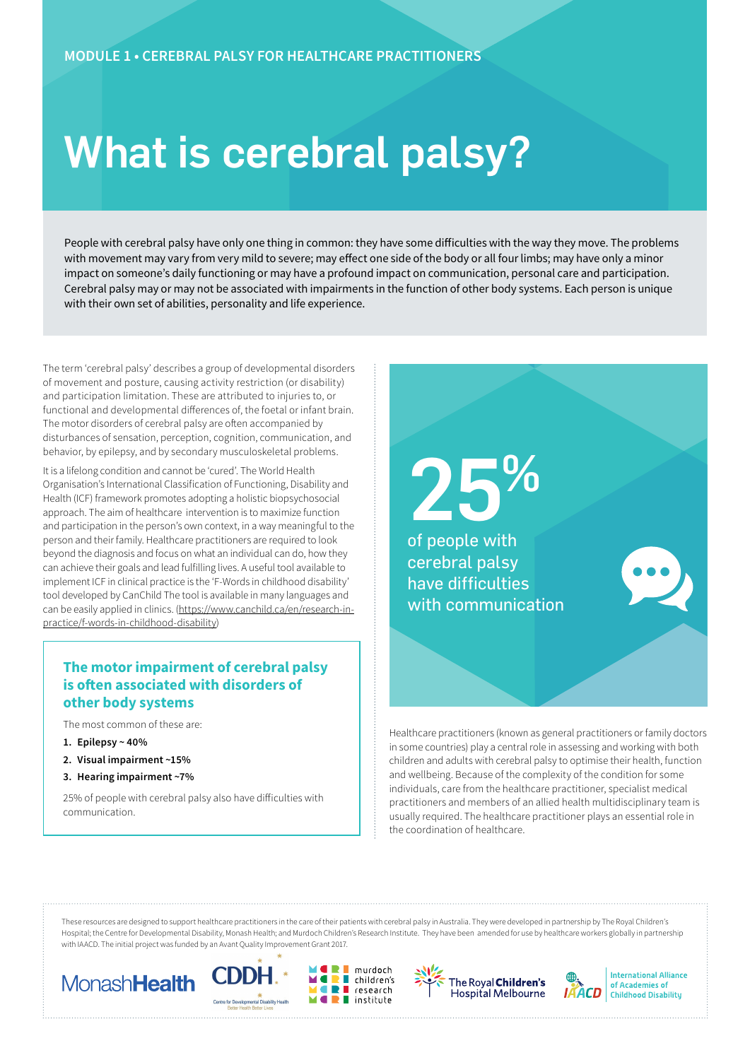# What is cerebral palsy?

People with cerebral palsy have only one thing in common: they have some difficulties with the way they move. The problems with movement may vary from very mild to severe; may effect one side of the body or all four limbs; may have only a minor impact on someone's daily functioning or may have a profound impact on communication, personal care and participation. Cerebral palsy may or may not be associated with impairments in the function of other body systems. Each person is unique with their own set of abilities, personality and life experience.

The term 'cerebral palsy' describes a group of developmental disorders of movement and posture, causing activity restriction (or disability) and participation limitation. These are attributed to injuries to, or functional and developmental differences of, the foetal or infant brain. The motor disorders of cerebral palsy are often accompanied by disturbances of sensation, perception, cognition, communication, and behavior, by epilepsy, and by secondary musculoskeletal problems.

It is a lifelong condition and cannot be 'cured'. The World Health Organisation's International Classification of Functioning, Disability and Health (ICF) framework promotes adopting a holistic biopsychosocial approach. The aim of healthcare intervention is to maximize function and participation in the person's own context, in a way meaningful to the person and their family. Healthcare practitioners are required to look beyond the diagnosis and focus on what an individual can do, how they can achieve their goals and lead fulfilling lives. A useful tool available to implement ICF in clinical practice is the 'F-Words in childhood disability' tool developed by CanChild The tool is available in many languages and can be easily applied in clinics. (https://www.canchild.ca/en/research-inpractice/f-words-in-childhood-disability)

#### **The motor impairment of cerebral palsy is often associated with disorders of other body systems**

The most common of these are:

- **1. Epilepsy ~ 40%**
- **2. Visual impairment ~15%**
- **3. Hearing impairment ~7%**

25% of people with cerebral palsy also have difficulties with communication.



Healthcare practitioners (known as general practitioners or family doctors in some countries) play a central role in assessing and working with both children and adults with cerebral palsy to optimise their health, function and wellbeing. Because of the complexity of the condition for some individuals, care from the healthcare practitioner, specialist medical practitioners and members of an allied health multidisciplinary team is usually required. The healthcare practitioner plays an essential role in the coordination of healthcare.

These resources are designed to support healthcare practitioners in the care of their patients with cerebral palsy in Australia. They were developed in partnership by The Royal Children's Hospital; the Centre for Developmental Disability, Monash Health; and Murdoch Children's Research Institute. They have been amended for use by healthcare workers globally in partnership with IAACD. The initial project was funded by an Avant Quality Improvement Grant 2017.

56









**International Alliance** of Academies of **Childhood Disability**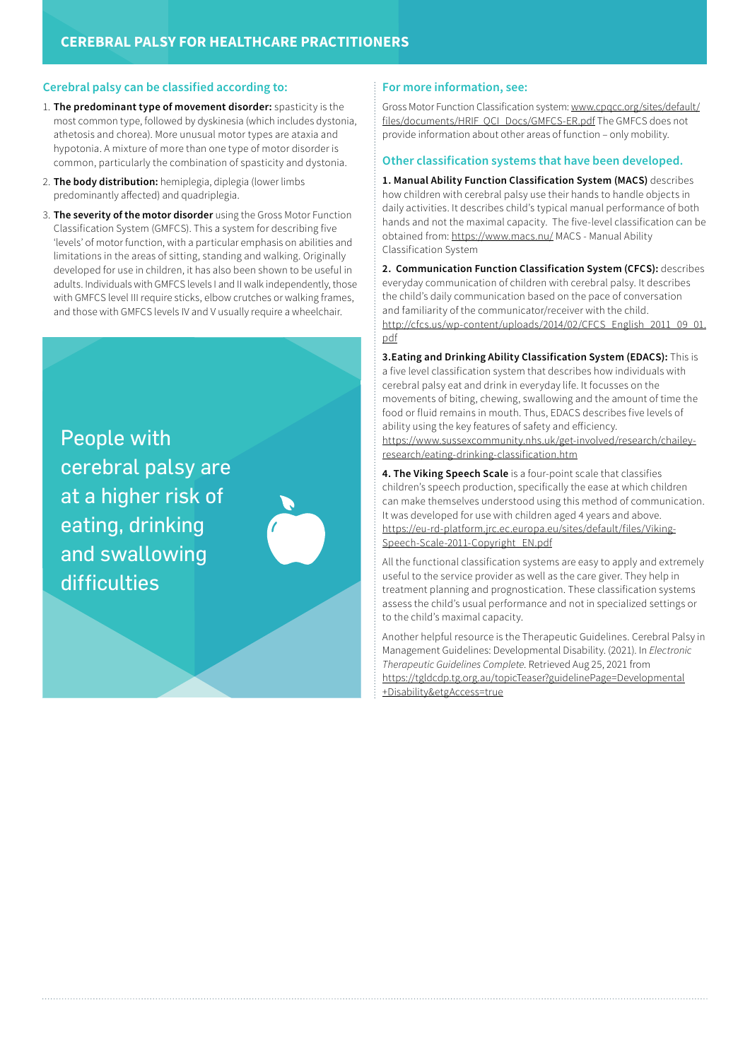#### **Cerebral palsy can be classified according to:**

- 1. **The predominant type of movement disorder:** spasticity is the most common type, followed by dyskinesia (which includes dystonia, athetosis and chorea). More unusual motor types are ataxia and hypotonia. A mixture of more than one type of motor disorder is common, particularly the combination of spasticity and dystonia.
- 2. **The body distribution:** hemiplegia, diplegia (lower limbs predominantly affected) and quadriplegia.
- 3. **The severity of the motor disorder** using the Gross Motor Function Classification System (GMFCS). This a system for describing five 'levels' of motor function, with a particular emphasis on abilities and limitations in the areas of sitting, standing and walking. Originally developed for use in children, it has also been shown to be useful in adults. Individuals with GMFCS levels I and II walk independently, those with GMFCS level III require sticks, elbow crutches or walking frames, and those with GMFCS levels IV and V usually require a wheelchair.

People with cerebral palsy are at a higher risk of eating, drinking and swallowing difficulties



#### **For more information, see:**

Gross Motor Function Classification system: [www.cpqcc.org/sites/default/](www.cpqcc.org/sites/default/files/documents/HRIF_QCI_Docs/GMFCS-ER.pdf) [files/documents/HRIF\\_QCI\\_Docs/GMFCS-ER.pdf](www.cpqcc.org/sites/default/files/documents/HRIF_QCI_Docs/GMFCS-ER.pdf) The GMFCS does not provide information about other areas of function – only mobility.

#### **Other classification systems that have been developed.**

**1. Manual Ability Function Classification System (MACS)** describes how children with cerebral palsy use their hands to handle objects in daily activities. It describes child's typical manual performance of both hands and not the maximal capacity. The five-level classification can be obtained from: https://www.macs.nu/ MACS - Manual Ability Classification System

**2. Communication Function Classification System (CFCS):** describes everyday communication of children with cerebral palsy. It describes the child's daily communication based on the pace of conversation and familiarity of the communicator/receiver with the child. [http://cfcs.us/wp-content/uploads/2014/02/CFCS\\_English\\_2011\\_09\\_01.](http://cfcs.us/wp-content/uploads/2014/02/CFCS_English_2011_09_01.pdf) [pdf](http://cfcs.us/wp-content/uploads/2014/02/CFCS_English_2011_09_01.pdf)

**3.Eating and Drinking Ability Classification System (EDACS):** This is a five level classification system that describes how individuals with cerebral palsy eat and drink in everyday life. It focusses on the movements of biting, chewing, swallowing and the amount of time the food or fluid remains in mouth. Thus, EDACS describes five levels of ability using the key features of safety and efficiency. https://www.sussexcommunity.nhs.uk/get-involved/research/chaileyresearch/eating-drinking-classification.htm

**4. The Viking Speech Scale** is a four-point scale that classifies children's speech production, specifically the ease at which children can make themselves understood using this method of communication. It was developed for use with children aged 4 years and above. https://eu-rd-platform.jrc.ec.europa.eu/sites/default/files/Viking-Speech-Scale-2011-Copyright\_EN.pdf

All the functional classification systems are easy to apply and extremely useful to the service provider as well as the care giver. They help in treatment planning and prognostication. These classification systems assess the child's usual performance and not in specialized settings or to the child's maximal capacity.

Another helpful resource is the Therapeutic Guidelines. Cerebral Palsy in Management Guidelines: Developmental Disability. (2021). In *Electronic Therapeutic Guidelines Complete*. Retrieved Aug 25, 2021 from [https://tgldcdp.tg.org.au/topicTeaser?guidelinePage=Developmental](https://tgldcdp.tg.org.au/topicTeaser?guidelinePage=Developmental+Disability&etgAccess=true+Disability&etgAccess=true) [+Disability&etgAccess=true](https://tgldcdp.tg.org.au/topicTeaser?guidelinePage=Developmental+Disability&etgAccess=true+Disability&etgAccess=true)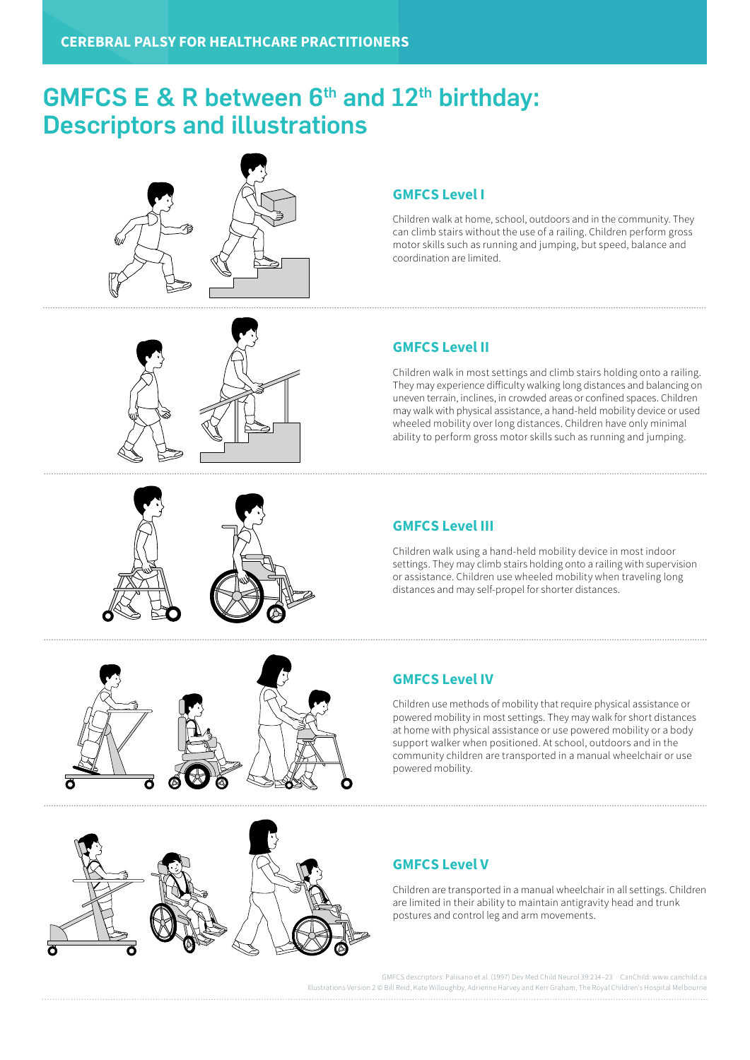# GMFCS E & R between  $6<sup>th</sup>$  and  $12<sup>th</sup>$  birthday: Descriptors and illustrations





Children walk at home, school, outdoors and in the community. They can climb stairs without the use of a railing. Children perform gross motor skills such as running and jumping, but speed, balance and coordination are limited.



Children walk in most settings and climb stairs holding onto a railing. They may experience difficulty walking long distances and balancing on uneven terrain, inclines, in crowded areas or confined spaces. Children may walk with physical assistance, a hand-held mobility device or used wheeled mobility over long distances. Children have only minimal ability to perform gross motor skills such as running and jumping.



#### **GMFCS Level III**

Children walk using a hand-held mobility device in most indoor settings. They may climb stairs holding onto a railing with supervision or assistance. Children use wheeled mobility when traveling long distances and may self-propel for shorter distances.



#### **GMFCS Level IV**

Children use methods of mobility that require physical assistance or powered mobility in most settings. They may walk for short distances at home with physical assistance or use powered mobility or a body support walker when positioned. At school, outdoors and in the community children are transported in a manual wheelchair or use powered mobility.



#### **GMFCS Level V**

Children are transported in a manual wheelchair in all settings. Children are limited in their ability to maintain antigravity head and trunk postures and control leg and arm movements.

GMFCS descriptors: Palisano et al. (1997) Dev Med Child Neurol 39:214–23 CanChild: www.canchild.ca Is Version 2 © Bill Reid, Kate Willoughby, Adrienne Harvey and Kerr Graham, The Royal Children's Hospital Melbourne